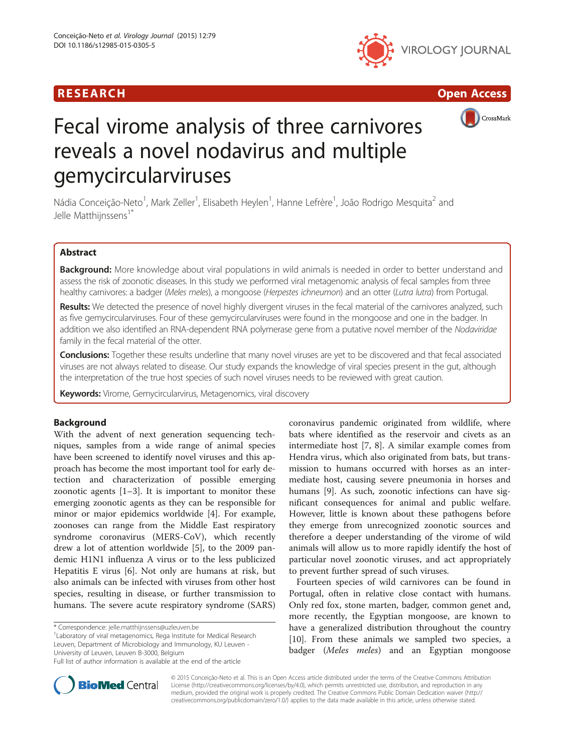







# Fecal virome analysis of three carnivores reveals a novel nodavirus and multiple gemycircularviruses

Nádia Conceição-Neto<sup>1</sup>, Mark Zeller<sup>1</sup>, Elisabeth Heylen<sup>1</sup>, Hanne Lefrère<sup>1</sup>, João Rodrigo Mesquita<sup>2</sup> and Jelle Matthiinssens<sup>17</sup>

# Abstract

Background: More knowledge about viral populations in wild animals is needed in order to better understand and assess the risk of zoonotic diseases. In this study we performed viral metagenomic analysis of fecal samples from three healthy carnivores: a badger (Meles meles), a mongoose (Herpestes ichneumon) and an otter (Lutra lutra) from Portugal.

Results: We detected the presence of novel highly divergent viruses in the fecal material of the carnivores analyzed, such as five gemycircularviruses. Four of these gemycircularviruses were found in the mongoose and one in the badger. In addition we also identified an RNA-dependent RNA polymerase gene from a putative novel member of the Nodaviridae family in the fecal material of the otter.

Conclusions: Together these results underline that many novel viruses are yet to be discovered and that fecal associated viruses are not always related to disease. Our study expands the knowledge of viral species present in the gut, although the interpretation of the true host species of such novel viruses needs to be reviewed with great caution.

Keywords: Virome, Gemycircularvirus, Metagenomics, viral discovery

# Background

With the advent of next generation sequencing techniques, samples from a wide range of animal species have been screened to identify novel viruses and this approach has become the most important tool for early detection and characterization of possible emerging zoonotic agents  $[1-3]$  $[1-3]$  $[1-3]$ . It is important to monitor these emerging zoonotic agents as they can be responsible for minor or major epidemics worldwide [[4\]](#page-5-0). For example, zoonoses can range from the Middle East respiratory syndrome coronavirus (MERS-CoV), which recently drew a lot of attention worldwide [[5](#page-5-0)], to the 2009 pandemic H1N1 influenza A virus or to the less publicized Hepatitis E virus [\[6](#page-5-0)]. Not only are humans at risk, but also animals can be infected with viruses from other host species, resulting in disease, or further transmission to humans. The severe acute respiratory syndrome (SARS)

\* Correspondence: [jelle.matthijnssens@uzleuven.be](mailto:jelle.matthijnssens@uzleuven.be) <sup>1</sup>

Laboratory of viral metagenomics, Rega Institute for Medical Research Leuven, Department of Microbiology and Immunology, KU Leuven - University of Leuven, Leuven B-3000, Belgium

coronavirus pandemic originated from wildlife, where bats where identified as the reservoir and civets as an intermediate host [\[7](#page-5-0), [8\]](#page-5-0). A similar example comes from Hendra virus, which also originated from bats, but transmission to humans occurred with horses as an intermediate host, causing severe pneumonia in horses and humans [[9](#page-5-0)]. As such, zoonotic infections can have significant consequences for animal and public welfare. However, little is known about these pathogens before they emerge from unrecognized zoonotic sources and therefore a deeper understanding of the virome of wild animals will allow us to more rapidly identify the host of particular novel zoonotic viruses, and act appropriately to prevent further spread of such viruses.

Fourteen species of wild carnivores can be found in Portugal, often in relative close contact with humans. Only red fox, stone marten, badger, common genet and, more recently, the Egyptian mongoose, are known to have a generalized distribution throughout the country [[10\]](#page-5-0). From these animals we sampled two species, a badger (Meles meles) and an Egyptian mongoose



© 2015 Conceição-Neto et al. This is an Open Access article distributed under the terms of the Creative Commons Attribution License (<http://creativecommons.org/licenses/by/4.0>), which permits unrestricted use, distribution, and reproduction in any medium, provided the original work is properly credited. The Creative Commons Public Domain Dedication waiver [\(http://](http://creativecommons.org/publicdomain/zero/1.0/) [creativecommons.org/publicdomain/zero/1.0/\)](http://creativecommons.org/publicdomain/zero/1.0/) applies to the data made available in this article, unless otherwise stated.

Full list of author information is available at the end of the article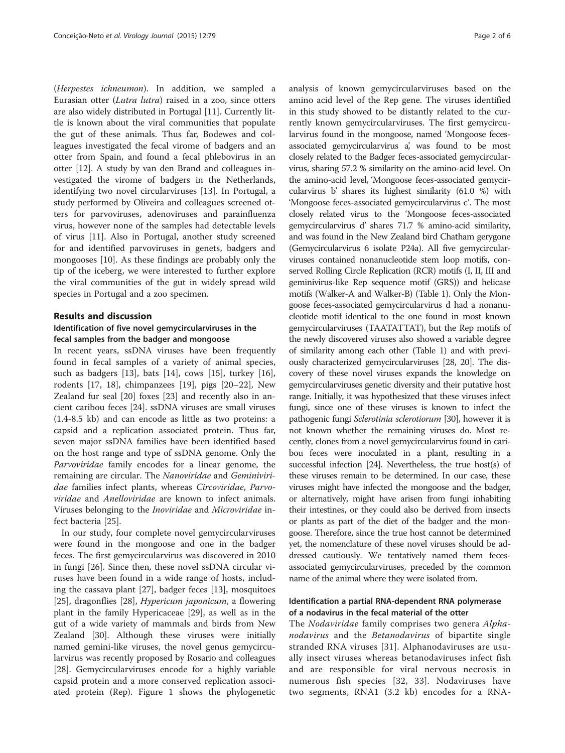(Herpestes ichneumon). In addition, we sampled a Eurasian otter (Lutra lutra) raised in a zoo, since otters are also widely distributed in Portugal [[11](#page-5-0)]. Currently little is known about the viral communities that populate the gut of these animals. Thus far, Bodewes and colleagues investigated the fecal virome of badgers and an otter from Spain, and found a fecal phlebovirus in an otter [[12\]](#page-5-0). A study by van den Brand and colleagues investigated the virome of badgers in the Netherlands, identifying two novel circularviruses [\[13](#page-5-0)]. In Portugal, a study performed by Oliveira and colleagues screened otters for parvoviruses, adenoviruses and parainfluenza virus, however none of the samples had detectable levels of virus [[11\]](#page-5-0). Also in Portugal, another study screened for and identified parvoviruses in genets, badgers and mongooses [[10\]](#page-5-0). As these findings are probably only the tip of the iceberg, we were interested to further explore the viral communities of the gut in widely spread wild species in Portugal and a zoo specimen.

## Results and discussion

## Identification of five novel gemycircularviruses in the fecal samples from the badger and mongoose

In recent years, ssDNA viruses have been frequently found in fecal samples of a variety of animal species, such as badgers [\[13](#page-5-0)], bats [\[14\]](#page-5-0), cows [\[15](#page-5-0)], turkey [\[16](#page-5-0)], rodents [\[17](#page-5-0), [18\]](#page-5-0), chimpanzees [\[19](#page-5-0)], pigs [\[20](#page-5-0)–[22\]](#page-5-0), New Zealand fur seal [\[20](#page-5-0)] foxes [[23](#page-5-0)] and recently also in ancient caribou feces [\[24\]](#page-5-0). ssDNA viruses are small viruses (1.4-8.5 kb) and can encode as little as two proteins: a capsid and a replication associated protein. Thus far, seven major ssDNA families have been identified based on the host range and type of ssDNA genome. Only the Parvoviridae family encodes for a linear genome, the remaining are circular. The Nanoviridae and Geminiviridae families infect plants, whereas Circoviridae, Parvoviridae and Anelloviridae are known to infect animals. Viruses belonging to the Inoviridae and Microviridae infect bacteria [[25\]](#page-5-0).

In our study, four complete novel gemycircularviruses were found in the mongoose and one in the badger feces. The first gemycircularvirus was discovered in 2010 in fungi [\[26](#page-5-0)]. Since then, these novel ssDNA circular viruses have been found in a wide range of hosts, including the cassava plant [\[27](#page-5-0)], badger feces [\[13](#page-5-0)], mosquitoes [[25\]](#page-5-0), dragonflies [[28](#page-5-0)], Hypericum japonicum, a flowering plant in the family Hypericaceae [\[29\]](#page-5-0), as well as in the gut of a wide variety of mammals and birds from New Zealand [\[30\]](#page-5-0). Although these viruses were initially named gemini-like viruses, the novel genus gemycircularvirus was recently proposed by Rosario and colleagues [[28\]](#page-5-0). Gemycircularviruses encode for a highly variable capsid protein and a more conserved replication associated protein (Rep). Figure [1](#page-2-0) shows the phylogenetic

analysis of known gemycircularviruses based on the amino acid level of the Rep gene. The viruses identified in this study showed to be distantly related to the currently known gemycircularviruses. The first gemycircularvirus found in the mongoose, named 'Mongoose fecesassociated gemycircularvirus a', was found to be most closely related to the Badger feces-associated gemycircularvirus, sharing 57.2 % similarity on the amino-acid level. On the amino-acid level, 'Mongoose feces-associated gemycircularvirus b' shares its highest similarity (61.0 %) with 'Mongoose feces-associated gemycircularvirus c'. The most closely related virus to the 'Mongoose feces-associated gemycircularvirus d' shares 71.7 % amino-acid similarity, and was found in the New Zealand bird Chatham gerygone (Gemycircularvirus 6 isolate P24a). All five gemycircularviruses contained nonanucleotide stem loop motifs, conserved Rolling Circle Replication (RCR) motifs (I, II, III and geminivirus-like Rep sequence motif (GRS)) and helicase motifs (Walker-A and Walker-B) (Table [1](#page-3-0)). Only the Mongoose feces-associated gemycircularvirus d had a nonanucleotide motif identical to the one found in most known gemycircularviruses (TAATATTAT), but the Rep motifs of the newly discovered viruses also showed a variable degree of similarity among each other (Table [1](#page-3-0)) and with previously characterized gemycircularviruses [[28](#page-5-0), [20\]](#page-5-0). The discovery of these novel viruses expands the knowledge on gemycircularviruses genetic diversity and their putative host range. Initially, it was hypothesized that these viruses infect fungi, since one of these viruses is known to infect the pathogenic fungi Sclerotinia sclerotiorum [\[30](#page-5-0)], however it is not known whether the remaining viruses do. Most recently, clones from a novel gemycircularvirus found in caribou feces were inoculated in a plant, resulting in a successful infection [\[24\]](#page-5-0). Nevertheless, the true host(s) of these viruses remain to be determined. In our case, these viruses might have infected the mongoose and the badger, or alternatively, might have arisen from fungi inhabiting their intestines, or they could also be derived from insects or plants as part of the diet of the badger and the mongoose. Therefore, since the true host cannot be determined yet, the nomenclature of these novel viruses should be addressed cautiously. We tentatively named them fecesassociated gemycircularviruses, preceded by the common name of the animal where they were isolated from.

# Identification a partial RNA-dependent RNA polymerase of a nodavirus in the fecal material of the otter

The *Nodaviridae* family comprises two genera *Alpha*nodavirus and the Betanodavirus of bipartite single stranded RNA viruses [[31](#page-5-0)]. Alphanodaviruses are usually insect viruses whereas betanodaviruses infect fish and are responsible for viral nervous necrosis in numerous fish species [\[32,](#page-5-0) [33](#page-5-0)]. Nodaviruses have two segments, RNA1 (3.2 kb) encodes for a RNA-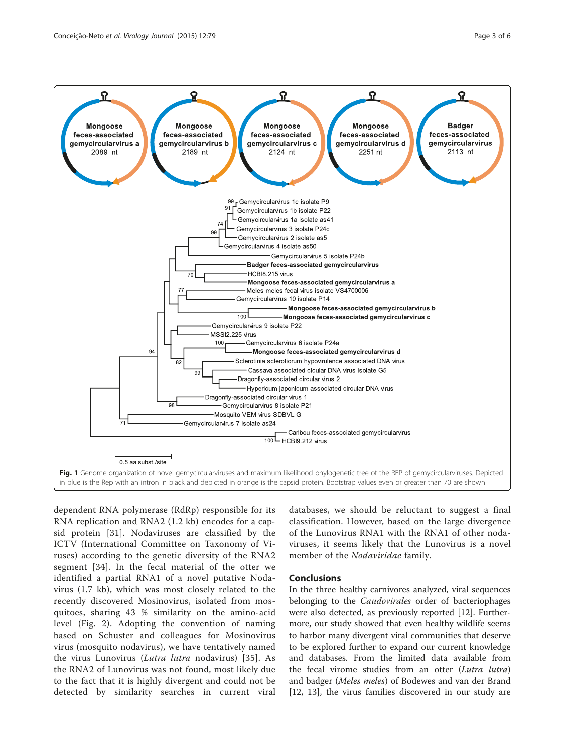<span id="page-2-0"></span>

dependent RNA polymerase (RdRp) responsible for its RNA replication and RNA2 (1.2 kb) encodes for a capsid protein [[31](#page-5-0)]. Nodaviruses are classified by the ICTV (International Committee on Taxonomy of Viruses) according to the genetic diversity of the RNA2 segment [[34](#page-5-0)]. In the fecal material of the otter we identified a partial RNA1 of a novel putative Nodavirus (1.7 kb), which was most closely related to the recently discovered Mosinovirus, isolated from mosquitoes, sharing 43 % similarity on the amino-acid level (Fig. [2](#page-3-0)). Adopting the convention of naming based on Schuster and colleagues for Mosinovirus virus (mosquito nodavirus), we have tentatively named the virus Lunovirus (Lutra lutra nodavirus) [[35](#page-5-0)]. As the RNA2 of Lunovirus was not found, most likely due to the fact that it is highly divergent and could not be detected by similarity searches in current viral

databases, we should be reluctant to suggest a final classification. However, based on the large divergence of the Lunovirus RNA1 with the RNA1 of other nodaviruses, it seems likely that the Lunovirus is a novel member of the Nodaviridae family.

## **Conclusions**

In the three healthy carnivores analyzed, viral sequences belonging to the *Caudovirales* order of bacteriophages were also detected, as previously reported [[12\]](#page-5-0). Furthermore, our study showed that even healthy wildlife seems to harbor many divergent viral communities that deserve to be explored further to expand our current knowledge and databases. From the limited data available from the fecal virome studies from an otter (Lutra lutra) and badger (Meles meles) of Bodewes and van der Brand [[12, 13](#page-5-0)], the virus families discovered in our study are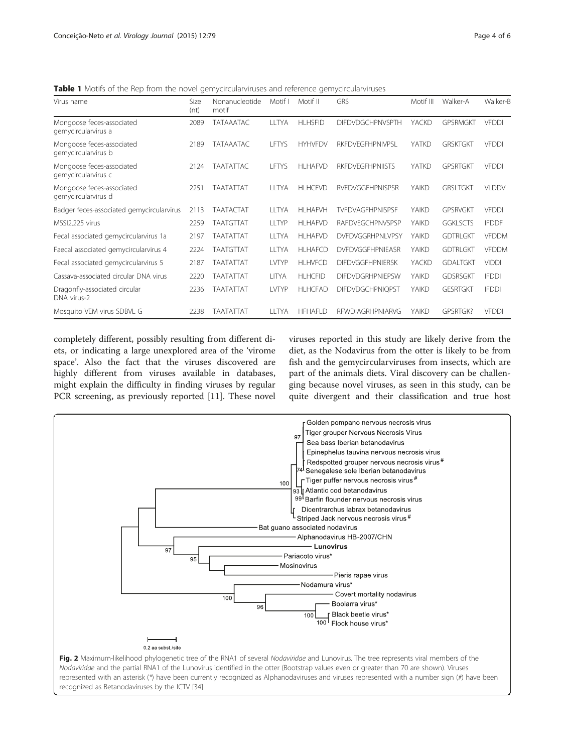<span id="page-3-0"></span>Table 1 Motifs of the Rep from the novel gemycircularviruses and reference gemycircularviruses

| Virus name                                       | Size<br>(nt) | Nonanucleotide<br>motif | Motif I      | Motif II       | <b>GRS</b>              | Motif III | Walker-A        | Walker-B     |
|--------------------------------------------------|--------------|-------------------------|--------------|----------------|-------------------------|-----------|-----------------|--------------|
| Mongoose feces-associated<br>gemycircularvirus a | 2089         | <b>TATAAATAC</b>        | <b>LLTYA</b> | <b>HLHSFID</b> | <b>DIFDVDGCHPNVSPTH</b> | YACKD     | <b>GPSRMGKT</b> | <b>VFDDI</b> |
| Mongoose feces-associated<br>gemycircularvirus b | 2189         | TATAAATAC               | LFTYS        | <b>HYHVFDV</b> | <b>RKFDVEGFHPNIVPSL</b> | YATKD     | <b>GRSKTGKT</b> | <b>VFDDI</b> |
| Mongoose feces-associated<br>gemycircularvirus c | 2124         | <b>TAATATTAC</b>        | LFTYS        | <b>HLHAFVD</b> | <b>RKFDVEGFHPNIISTS</b> | YATKD     | <b>GPSRTGKT</b> | <b>VFDDI</b> |
| Mongoose feces-associated<br>gemycircularvirus d | 2251         | TAATATTAT               | <b>LLTYA</b> | <b>HLHCFVD</b> | <b>RVFDVGGFHPNISPSR</b> | YAIKD     | <b>GRSLTGKT</b> | <b>VLDDV</b> |
| Badger feces-associated gemycircularvirus        | 2113         | <b>TAATACTAT</b>        | <b>LLTYA</b> | <b>HLHAFVH</b> | TVFDVAGFHPNISPSF        | YAIKD     | <b>GPSRVGKT</b> | <b>VFDDI</b> |
| MSSI2.225 virus                                  | 2259         | <b>TAATGTTAT</b>        | LLTYP        | <b>HLHAFVD</b> | <b>RAFDVEGCHPNVSPSP</b> | YAIKD     | <b>GGKLSCTS</b> | <b>IFDDF</b> |
| Fecal associated gemycircularvirus 1a            | 2197         | <b>TAATATTAT</b>        | LLTYA        | <b>HLHAFVD</b> | <b>DVFDVGGRHPNLVPSY</b> | YAIKD     | <b>GDTRLGKT</b> | <b>VFDDM</b> |
| Faecal associated gemycircularvirus 4            | 2224         | <b>TAATGTTAT</b>        | <b>LLTYA</b> | <b>HLHAFCD</b> | <b>DVFDVGGFHPNIEASR</b> | YAIKD     | <b>GDTRLGKT</b> | <b>VFDDM</b> |
| Fecal associated gemycircularvirus 5             | 2187         | TAATATTAT               | <b>LVTYP</b> | <b>HLHVFCD</b> | <b>DIFDVGGFHPNIERSK</b> | YACKD     | <b>GDALTGKT</b> | <b>VIDDI</b> |
| Cassava-associated circular DNA virus            | 2220         | TAATATTAT               | <b>LITYA</b> | <b>HLHCFID</b> | <b>DIFDVDGRHPNIEPSW</b> | YAIKD     | <b>GDSRSGKT</b> | <b>IFDDI</b> |
| Dragonfly-associated circular<br>DNA virus-2     | 2236         | <b>TAATATTAT</b>        | <b>LVTYP</b> | <b>HLHCFAD</b> | <b>DIFDVDGCHPNIQPST</b> | YAIKD     | <b>GESRTGKT</b> | <b>IFDDI</b> |
| Mosquito VEM virus SDBVL G                       | 2238         | TAATATTAT               | LLTYA        | <b>HFHAFLD</b> | RFWDIAGRHPNIARVG        | YAIKD     | GPSRTGK?        | <b>VFDDI</b> |

completely different, possibly resulting from different diets, or indicating a large unexplored area of the 'virome space'. Also the fact that the viruses discovered are highly different from viruses available in databases, might explain the difficulty in finding viruses by regular PCR screening, as previously reported [[11\]](#page-5-0). These novel viruses reported in this study are likely derive from the diet, as the Nodavirus from the otter is likely to be from fish and the gemycircularviruses from insects, which are part of the animals diets. Viral discovery can be challenging because novel viruses, as seen in this study, can be quite divergent and their classification and true host

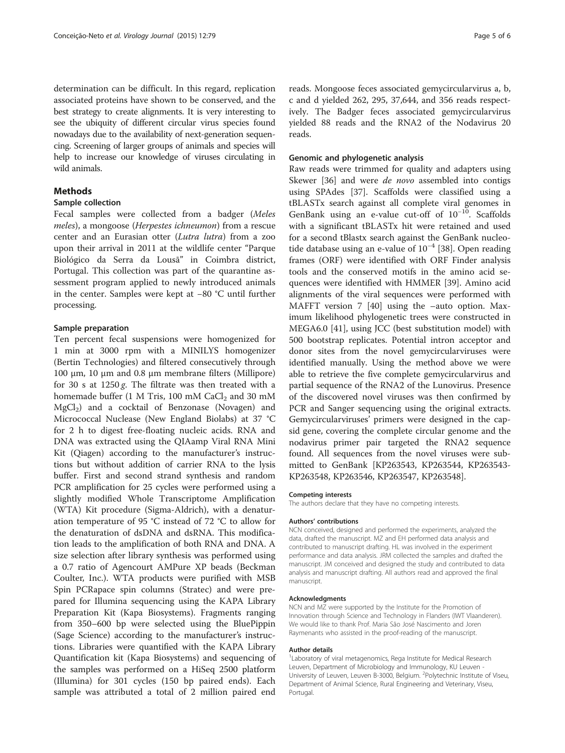determination can be difficult. In this regard, replication associated proteins have shown to be conserved, and the best strategy to create alignments. It is very interesting to see the ubiquity of different circular virus species found nowadays due to the availability of next-generation sequencing. Screening of larger groups of animals and species will help to increase our knowledge of viruses circulating in wild animals.

# **Methods**

## Sample collection

Fecal samples were collected from a badger (Meles meles), a mongoose (Herpestes ichneumon) from a rescue center and an Eurasian otter (Lutra lutra) from a zoo upon their arrival in 2011 at the wildlife center "Parque Biológico da Serra da Lousã" in Coimbra district, Portugal. This collection was part of the quarantine assessment program applied to newly introduced animals in the center. Samples were kept at −80 °C until further processing.

## Sample preparation

Ten percent fecal suspensions were homogenized for 1 min at 3000 rpm with a MINILYS homogenizer (Bertin Technologies) and filtered consecutively through 100 μm, 10 μm and 0.8 μm membrane filters (Millipore) for 30 s at  $1250 g$ . The filtrate was then treated with a homemade buffer (1 M Tris, 100 mM  $CaCl<sub>2</sub>$  and 30 mM  $MgCl<sub>2</sub>$ ) and a cocktail of Benzonase (Novagen) and Micrococcal Nuclease (New England Biolabs) at 37 °C for 2 h to digest free-floating nucleic acids. RNA and DNA was extracted using the QIAamp Viral RNA Mini Kit (Qiagen) according to the manufacturer's instructions but without addition of carrier RNA to the lysis buffer. First and second strand synthesis and random PCR amplification for 25 cycles were performed using a slightly modified Whole Transcriptome Amplification (WTA) Kit procedure (Sigma-Aldrich), with a denaturation temperature of 95 °C instead of 72 °C to allow for the denaturation of dsDNA and dsRNA. This modification leads to the amplification of both RNA and DNA. A size selection after library synthesis was performed using a 0.7 ratio of Agencourt AMPure XP beads (Beckman Coulter, Inc.). WTA products were purified with MSB Spin PCRapace spin columns (Stratec) and were prepared for Illumina sequencing using the KAPA Library Preparation Kit (Kapa Biosystems). Fragments ranging from 350–600 bp were selected using the BluePippin (Sage Science) according to the manufacturer's instructions. Libraries were quantified with the KAPA Library Quantification kit (Kapa Biosystems) and sequencing of the samples was performed on a HiSeq 2500 platform (Illumina) for 301 cycles (150 bp paired ends). Each sample was attributed a total of 2 million paired end

reads. Mongoose feces associated gemycircularvirus a, b, c and d yielded 262, 295, 37,644, and 356 reads respectively. The Badger feces associated gemycircularvirus yielded 88 reads and the RNA2 of the Nodavirus 20 reads.

## Genomic and phylogenetic analysis

Raw reads were trimmed for quality and adapters using Skewer [[36\]](#page-5-0) and were *de novo* assembled into contigs using SPAdes [[37\]](#page-5-0). Scaffolds were classified using a tBLASTx search against all complete viral genomes in GenBank using an e-value cut-off of  $10^{-10}$ . Scaffolds with a significant tBLASTx hit were retained and used for a second tBlastx search against the GenBank nucleotide database using an e-value of  $10^{-4}$  [[38\]](#page-5-0). Open reading frames (ORF) were identified with ORF Finder analysis tools and the conserved motifs in the amino acid sequences were identified with HMMER [[39](#page-5-0)]. Amino acid alignments of the viral sequences were performed with MAFFT version 7 [\[40](#page-5-0)] using the –auto option. Maximum likelihood phylogenetic trees were constructed in MEGA6.0 [[41\]](#page-5-0), using JCC (best substitution model) with 500 bootstrap replicates. Potential intron acceptor and donor sites from the novel gemycircularviruses were identified manually. Using the method above we were able to retrieve the five complete gemycircularvirus and partial sequence of the RNA2 of the Lunovirus. Presence of the discovered novel viruses was then confirmed by PCR and Sanger sequencing using the original extracts. Gemycircularviruses' primers were designed in the capsid gene, covering the complete circular genome and the nodavirus primer pair targeted the RNA2 sequence found. All sequences from the novel viruses were submitted to GenBank [KP263543, KP263544, KP263543- KP263548, KP263546, KP263547, KP263548].

#### Competing interests

The authors declare that they have no competing interests.

#### Authors' contributions

NCN conceived, designed and performed the experiments, analyzed the data, drafted the manuscript. MZ and EH performed data analysis and contributed to manuscript drafting. HL was involved in the experiment performance and data analysis. JRM collected the samples and drafted the manuscript. JM conceived and designed the study and contributed to data analysis and manuscript drafting. All authors read and approved the final manuscript.

#### Acknowledgments

NCN and MZ were supported by the Institute for the Promotion of Innovation through Science and Technology in Flanders (IWT Vlaanderen). We would like to thank Prof. Maria São José Nascimento and Joren Raymenants who assisted in the proof-reading of the manuscript.

#### Author details

<sup>1</sup> Laboratory of viral metagenomics, Rega Institute for Medical Research Leuven, Department of Microbiology and Immunology, KU Leuven - University of Leuven, Leuven B-3000, Belgium. <sup>2</sup>Polytechnic Institute of Viseu Department of Animal Science, Rural Engineering and Veterinary, Viseu, Portugal.